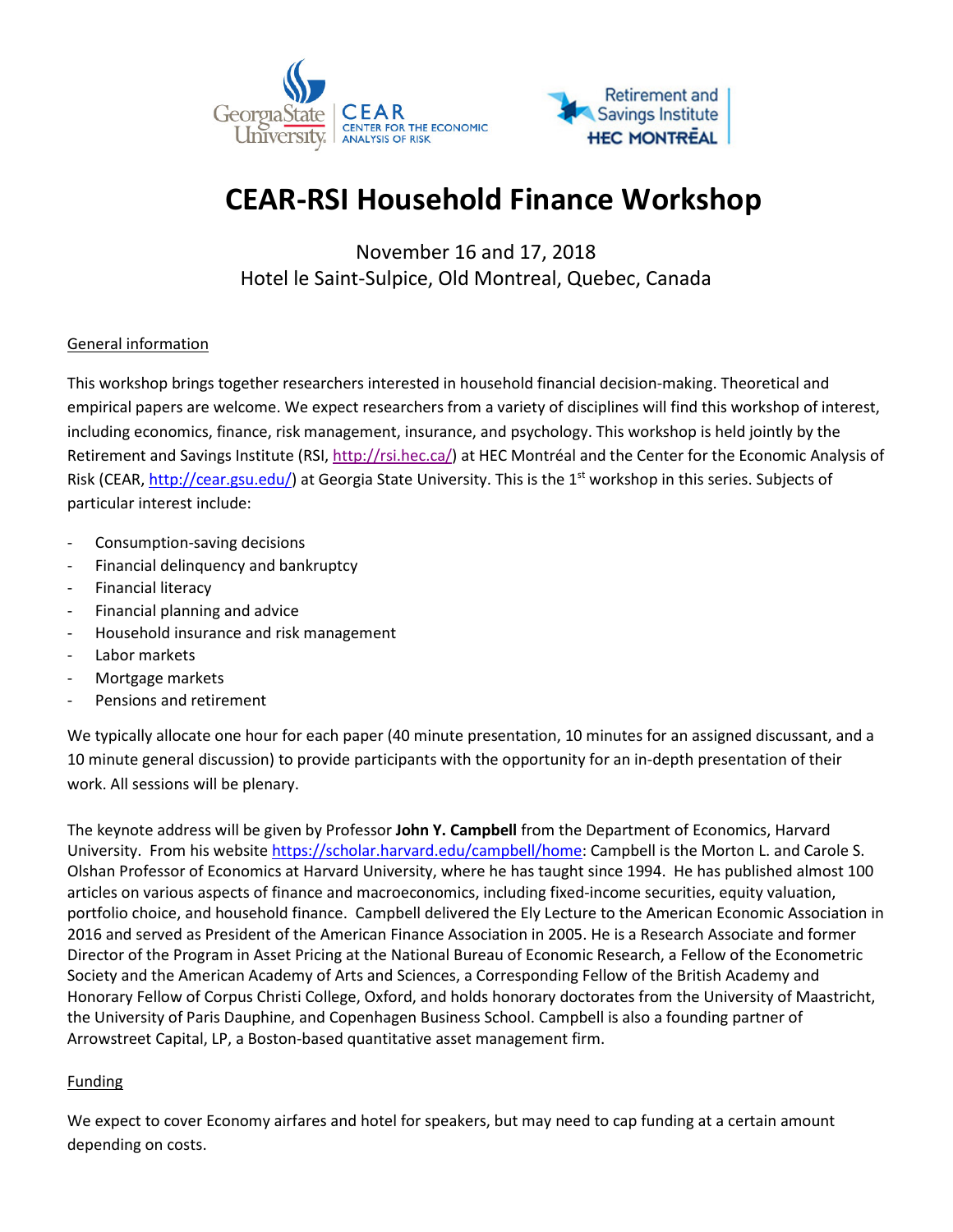



# **CEAR-RSI Household Finance Workshop**

November 16 and 17, 2018 Hotel le Saint-Sulpice, Old Montreal, Quebec, Canada

## General information

This workshop brings together researchers interested in household financial decision-making. Theoretical and empirical papers are welcome. We expect researchers from a variety of disciplines will find this workshop of interest, including economics, finance, risk management, insurance, and psychology. This workshop is held jointly by the Retirement and Savings Institute (RSI, [http://rsi.hec.ca/\)](http://rsi.hec.ca/) at HEC Montréal and the Center for the Economic Analysis of Risk (CEAR[, http://cear.gsu.edu/\)](http://cear.gsu.edu/) at Georgia State University. This is the 1<sup>st</sup> workshop in this series. Subjects of particular interest include:

- Consumption-saving decisions
- Financial delinquency and bankruptcy
- Financial literacy
- Financial planning and advice
- Household insurance and risk management
- Labor markets
- Mortgage markets
- Pensions and retirement

We typically allocate one hour for each paper (40 minute presentation, 10 minutes for an assigned discussant, and a 10 minute general discussion) to provide participants with the opportunity for an in-depth presentation of their work. All sessions will be plenary.

The keynote address will be given by Professor **John Y. Campbell** from the Department of Economics, Harvard University. From his websit[e https://scholar.harvard.edu/campbell/home:](https://scholar.harvard.edu/campbell/home) Campbell is the Morton L. and Carole S. Olshan Professor of Economics at Harvard University, where he has taught since 1994. He has published almost 100 articles on various aspects of finance and macroeconomics, including fixed-income securities, equity valuation, portfolio choice, and household finance. Campbell delivered the Ely Lecture to the American Economic Association in 2016 and served as President of the American Finance Association in 2005. He is a Research Associate and former Director of the Program in Asset Pricing at the National Bureau of Economic Research, a Fellow of the Econometric Society and the American Academy of Arts and Sciences, a Corresponding Fellow of the British Academy and Honorary Fellow of Corpus Christi College, Oxford, and holds honorary doctorates from the University of Maastricht, the University of Paris Dauphine, and Copenhagen Business School. Campbell is also a founding partner of Arrowstreet Capital, LP, a Boston-based quantitative asset management firm.

## **Funding**

We expect to cover Economy airfares and hotel for speakers, but may need to cap funding at a certain amount depending on costs.